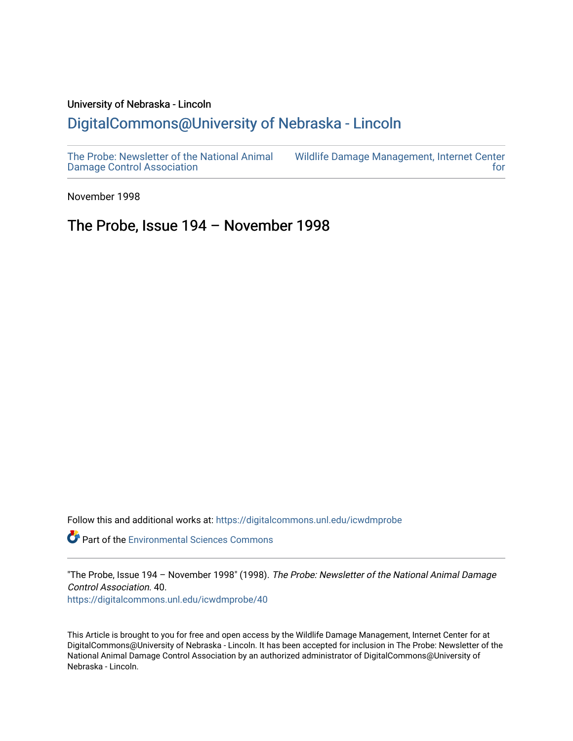### University of Nebraska - Lincoln [DigitalCommons@University of Nebraska - Lincoln](https://digitalcommons.unl.edu/)

[The Probe: Newsletter of the National Animal](https://digitalcommons.unl.edu/icwdmprobe)  [Damage Control Association](https://digitalcommons.unl.edu/icwdmprobe) 

[Wildlife Damage Management, Internet Center](https://digitalcommons.unl.edu/icwdm)  [for](https://digitalcommons.unl.edu/icwdm) 

November 1998

### The Probe, Issue 194 – November 1998

Follow this and additional works at: [https://digitalcommons.unl.edu/icwdmprobe](https://digitalcommons.unl.edu/icwdmprobe?utm_source=digitalcommons.unl.edu%2Ficwdmprobe%2F40&utm_medium=PDF&utm_campaign=PDFCoverPages) 

**Part of the [Environmental Sciences Commons](http://network.bepress.com/hgg/discipline/167?utm_source=digitalcommons.unl.edu%2Ficwdmprobe%2F40&utm_medium=PDF&utm_campaign=PDFCoverPages)** 

"The Probe, Issue 194 - November 1998" (1998). The Probe: Newsletter of the National Animal Damage Control Association. 40.

[https://digitalcommons.unl.edu/icwdmprobe/40](https://digitalcommons.unl.edu/icwdmprobe/40?utm_source=digitalcommons.unl.edu%2Ficwdmprobe%2F40&utm_medium=PDF&utm_campaign=PDFCoverPages)

This Article is brought to you for free and open access by the Wildlife Damage Management, Internet Center for at DigitalCommons@University of Nebraska - Lincoln. It has been accepted for inclusion in The Probe: Newsletter of the National Animal Damage Control Association by an authorized administrator of DigitalCommons@University of Nebraska - Lincoln.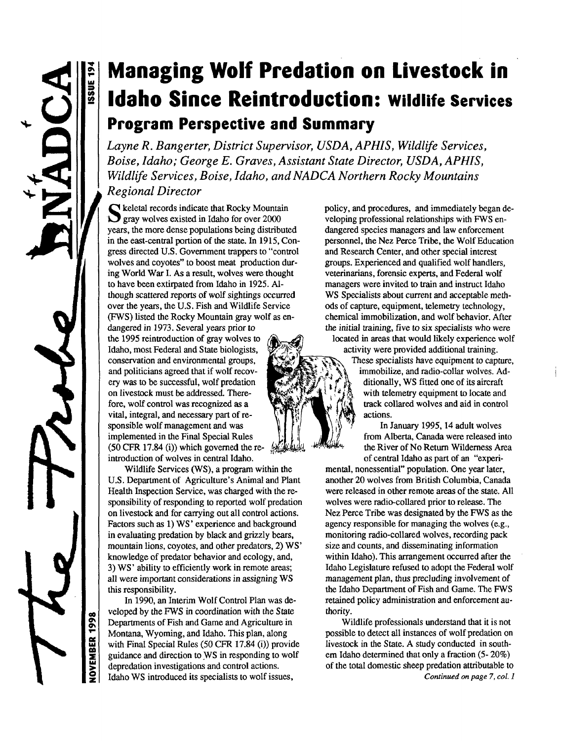**VOVEMBER 1998** 

**ISSUE 19** 

# **Managing Wolf Predation on Livestock in Idaho Since Reintroduction:** wildlife services **Program Perspective and Summary**

*Layne R. Bangerter, District Supervisor, USD A, APHIS, Wildlife Services, Boise, Idaho; George E. Graves, Assistant State Director, USD A, APHIS, Wildlife Services, Boise, Idaho, and NADC A Northern Rocky Mountains Regional Director*

S keletal records indicate that Rocky Mounta<br>gray wolves existed in Idaho for over 2000  $\Gamma$  keletal records indicate that Rocky Mountain years, the more dense populations being distributed in the east-central portion of the state. In 1915, Congress directed U.S. Government trappers to "control wolves and coyotes" to boost meat production during World War I. As a result, wolves were thought to have been extirpated from Idaho in 1925. Although scattered reports of wolf sightings occurred over the years, the U.S. Fish and Wildlife Service (FWS) listed the Rocky Mountain gray wolf as endangered in 1973. Several years prior to the 1995 reintroduction of gray wolves to Idaho, most Federal and State biologists, conservation and environmental groups, and politicians agreed that if wolf recovery was to be successful, wolf predation on livestock must be addressed. Therefore, wolf control was recognized as a vital, integral, and necessary part of responsible wolf management and was

implemented in the Final Special Rules (50 CFR 17.84 (i)) which governed the reintroduction of wolves in central Idaho. Wildlife Services (WS), a program within the U.S. Department of Agriculture's Animal and Plant Health Inspection Service, was charged with the responsibility of responding to reported wolf predation on livestock and for carrying out all control actions. Factors such as 1) WS' experience and background

in evaluating predation by black and grizzly bears, mountain lions, coyotes, and other predators, 2) WS' knowledge of predator behavior and ecology, and, 3) WS' ability to efficiently work in remote areas; all were important considerations in assigning WS this responsibility.

In 1990, an Interim Wolf Control Plan was developed by the FWS in coordination with the State Departments of Fish and Game and Agriculture in Montana, Wyoming, and Idaho. This plan, along with Final Special Rules (50 CFR 17.84 (i)) provide guidance and direction to WS in responding to wolf depredation investigations and control actions. Idaho WS introduced its specialists to wolf issues,

policy, and procedures, and immediately began developing professional relationships with FWS endangered species managers and law enforcement personnel, the Nez Perce Tribe, the Wolf Education and Research Center, and other special interest groups. Experienced and qualified wolf handlers, veterinarians, forensic experts, and Federal wolf managers were invited to train and instruct Idaho WS Specialists about current and acceptable methods of capture, equipment, telemetry technology, chemical immobilization, and wolf behavior. After the initial training, five to six specialists who were

located in areas that would likely experience wolf activity were provided additional training.

These specialists have equipment to capture, immobilize, and radio-collar wolves. Additionally, WS fitted one of its aircraft with telemetry equipment to locate and track collared wolves and aid in control actions.

In January 1995,14 adult wolves from Alberta, Canada were released into the River of No Return Wilderness Area of central Idaho as part of an "experi-

mental, nonessential" population. One year later, another 20 wolves from British Columbia, Canada were released in other remote areas of the state. All wolves were radio-collared prior to release. The Nez Perce Tribe was designated by the FWS as the agency responsible for managing the wolves (e.g., monitoring radio-collared wolves, recording pack size and counts, and disseminating information within Idaho). This arrangement occurred after the Idaho Legislature refused to adopt the Federal wolf management plan, thus precluding involvement of the Idaho Department of Fish and Game. The FWS retained policy administration and enforcement authority.

Wildlife professionals understand that it is not possible to detect all instances of wolf predation on livestock in the State. A study conducted in southem Idaho determined that only a fraction (5- 20%) of the total domestic sheep predation attributable to *Continued on page 7, col. 1*

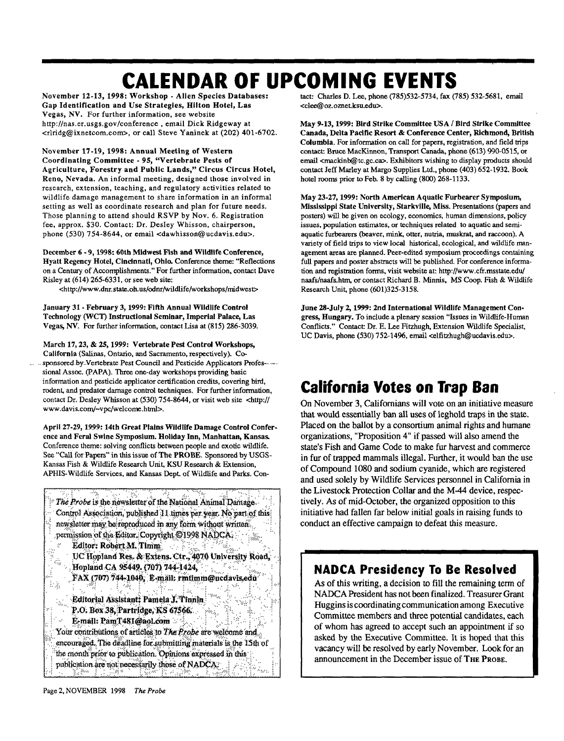# **CALENDAR OF UPCOMING EVENTS**

**November 12-13, 1998: Workshop - Alien Species Databases: Gap Identification and Use Strategies, Hilton Hotel, Las** Vegas, NV. For further information, see website http://nas.er.usgs.gov/conference , email Dick Ridgeway at <rlridg@ixnetcom.com>, or call Steve Yaninek at (202) 401-6702.

**November 17-19, 1998: Annual Meeting of Western Coordinating Committee - 95, "Vertebrate Pests of Agriculture, Forestry and Public Lands," Circus Circus Hotel,** Reno, Nevada. An informal meeting, designed those involved in research, extension, teaching, and regulatory activities related to wildlife damage management to share information in an informal setting as well as coordinate research and plan for future needs. Those planning to attend should RSVP by Nov. 6. Registration fee, approx. \$30. Contact: Dr. Desley Whisson, chairperson, phone (530) 754-8644, or email <dawhisson@ucdavis.edu>.

**December 6** - **9,1998: 60th Midwest Fish and Wildlife Conference, Hyatt Regency Hotel, Cincinnati, Ohio.** Conference theme: "Reflections on a Century of Accomplishments." For further information, contact Dave Risley at (614) 265-6331, or see web site:

<http://www.dnr.state.oh.us/odnr/wildlife/workshops/midwest>

**January** 31 - **February 3,1999: Fifth Annual Wildlife Control Technology (WCT) Instructional Seminar, Imperial Palace, Las** Vegas, **NV.** For further information, contact Lisa at (815) 286-3039.

**March 17,23,** & **25,1999: Vertebrate Pest Control Workshops, California** (Salinas, Ontario, and Sacramento, respectively). Co sponsored by\_Vertebrate Pest Council and Pesticide Applicators Profes--sional Assoc. (PAPA). Three one-day workshops providing basic information and pesticide applicator certification credits, covering bird, rodent, and predator damage control techniques. For further information, contact Dr. Desley Whisson at (530) 754-8644, or visit web site <http:// www.davis.com/~vpc/welcome.html>.

**April 27-29,1999:14th Great Plains Wildlife Damage Control Conference and Feral Swine Symposium. Holiday Inn, Manhattan, Kansas.** Conference theme: solving conflicts between people and exotic wildlife. See "Call for Papers" in this issue of **The PROBE.** Sponsored by USGS-Kansas Fish & Wildlife Research Unit, KSU Research & Extension, APHIS-Wildlife Services, and Kansas Dept of Wildlife and Parks. Con-



tact: Charles D. Lee, phone (785)532-5734, fax (785) 532-5681, email <clee@oz.oznet.ksu.edu>.

**May 9-13,1999: Bird Strike Committee USA / Bird Strike Committee Canada, Delta Pacific Resort & Conference Center, Richmond, British Columbia.** For information on call for papers, registration, and field trips contact: Bruce MacKinnon, Transport Canada, phone (613) 990-0515, or email <mackinb@tc.gc.ca>. Exhibitors wishing to display products should contact Jeff Marley at Margo Supplies Ltd., phone (403) 652-1932. Book hotel rooms prior to Feb. 8 by calling (800) 268-1133.

**May 23-27,1999: North American Aquatic Furbearer Symposium, Mississippi State University, Starkville, Miss.** Presentations (papers and posters) will be given on ecology, economics, human dimensions, policy issues, population estimates, or techniques related to aquatic and semiaquatic furbearers (beaver, mink, otter, nutria, muskrat, and raccoon). A variety of field trips to view local historical, ecological, and wildlife management areas are planned. Peer-edited symposium proceedings containing full papers and poster abstracts will be published. For conference information and registration forms, visit website at: http://www.cfr.msstate.edu/ naafs/naafs.htm, or contact Richard B. Minnis, MS Coop. Fish & Wildlife Research Unit, phone (601)325-3158.

**June 28-Juiy 2,1999: 2nd International Wildlife Management Congress, Hungary.** To include a plenary session "Issues in Wildlife-Human Conflicts." Contact Dr. E. Lee Fitzhugh, Extension Wildlife Specialist, UC Davis, phone (530) 752-1496, email <elfitzhugh@ucdavis.edu>.

## **California Votes on Trap Ban**

On November 3, Californians will vote on an initiative measure that would essentially ban all uses of leghold traps in the state. Placed on the ballot by a consortium animal rights and humane organizations, "Proposition 4" if passed will also amend the state's Fish and Game Code to make fur harvest and commerce in fur of trapped mammals illegal. Further, it would ban the use of Compound 1080 and sodium cyanide, which are registered and used solely by Wildlife Services personnel in California in the Livestock Protection Collar and the M-44 device, respectively. As of mid-October, the organized opposition to this initiative had fallen far below initial goals in raising funds to conduct an effective campaign to defeat this measure.

### **NADCA Presidency To Be Resolved**

As of this writing, a decision to fill the remaining term of NADCA President has not been finalized. Treasurer Grant Huggins is coordinating communication among Executive Committee members and three potential candidates, each of whom has agreed to accept such an appointment if so asked by the Executive Committee. It is hoped that this vacancy will be resolved by early November. Look for an announcement in the December issue of THE PROBE.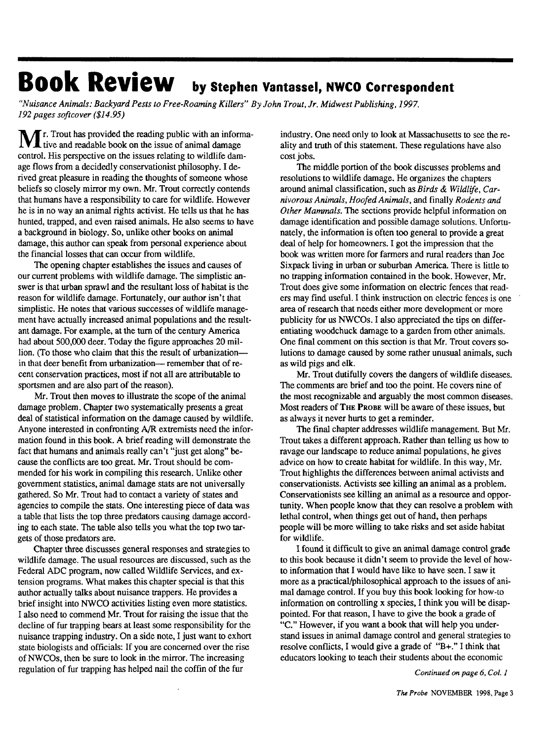# **Book Review by Stephen Vantassel, NWCO Correspondent**

*"Nuisance Animals: Backyard Pests to Free-Roaming Killers" By John Trout, Jr. Midwest Publishing, 1997. 192 pages softcover (\$14.95)*

Mr. Trout has provided the reading public with an informa-tive and readable book on the issue of animal damage control. His perspective on the issues relating to wildlife damage flows from a decidedly conservationist philosophy. I derived great pleasure in reading the thoughts of someone whose beliefs so closely mirror my own. Mr. Trout correctly contends that humans have a responsibility to care for wildlife. However he is in no way an animal rights activist. He tells us that he has hunted, trapped, and even raised animals. He also seems to have a background in biology. So, unlike other books on animal damage, this author can speak from personal experience about the financial losses that can occur from wildlife.

The opening chapter establishes the issues and causes of our current problems with wildlife damage. The simplistic answer is that urban sprawl and the resultant loss of habitat is the reason for wildlife damage. Fortunately, our author isn't that simplistic. He notes that various successes of wildlife management have actually increased animal populations and the resultant damage. For example, at the turn of the century America had about 500,000 deer. Today the figure approaches 20 million. (To those who claim that this the result of urbanization in that deer benefit from urbanization— remember that of recent conservation practices, most if not all are attributable to sportsmen and are also part of the reason).

Mr. Trout then moves to illustrate the scope of the animal damage problem. Chapter two systematically presents a great deal of statistical information on the damage caused by wildlife. Anyone interested in confronting A/R extremists need the information found in this book. A brief reading will demonstrate the fact that humans and animals really can't "just get along" because the conflicts are too great. Mr. Trout should be commended for his work in compiling this research. Unlike other government statistics, animal damage stats are not universally gathered. So Mr. Trout had to contact a variety of states and agencies to compile the stats. One interesting piece of data was a table that lists the top three predators causing damage according to each state. The table also tells you what the top two targets of those predators are.

Chapter three discusses general responses and strategies to wildlife damage. The usual resources are discussed, such as the Federal ADC program, now called Wildlife Services, and extension programs. What makes this chapter special is that this author actually talks about nuisance trappers. He provides a brief insight into NWCO activities listing even more statistics. I also need to commend Mr. Trout for raising the issue that the decline of fur trapping bears at least some responsibility for the nuisance trapping industry. On a side note, I just want to exhort state biologists and officials: If you are concerned over the rise of NWCOs, then be sure to look in the mirror. The increasing regulation of fur trapping has helped nail the coffin of the fur

industry. One need only to look at Massachusetts to see the reality and truth of this statement. These regulations have also cost jobs.

The middle portion of the book discusses problems and resolutions to wildlife damage. He organizes the chapters around animal classification, such as *Birds & Wildlife, Carnivorous Animals, Hoofed Animals,* and finally *Rodents and Other Mammals.* The sections provide helpful information on damage identification and possible damage solutions. Unfortunately, the information is often too general to provide a great deal of help for homeowners. I got the impression that the book was written more for farmers and rural readers than Joe Sixpack living in urban or suburban America. There is little to no trapping information contained in the book. However, Mr. Trout does give some information on electric fences that readers may find useful. I think instruction on electric fences is one area of research that needs either more development or more publicity for us NWCOs. I also appreciated the tips on differentiating woodchuck damage to a garden from other animals. One final comment on this section is that Mr. Trout covers solutions to damage caused by some rather unusual animals, such as wild pigs and elk.

Mr. Trout dutifully covers the dangers of wildlife diseases. The comments are brief and too the point. He covers nine of the most recognizable and arguably the most common diseases. Most readers of THE PROBE will be aware of these issues, but as always it never hurts to get a reminder.

The final chapter addresses wildlife management. But Mr. Trout takes a different approach. Rather than telling us how to ravage our landscape to reduce animal populations, he gives advice on how to create habitat for wildlife. In this way, Mr. Trout highlights the differences between animal activists and conservationists. Activists see killing an animal as a problem. Conservationists see killing an animal as a resource and opportunity. When people know that they can resolve a problem with lethal control, when things get out of hand, then perhaps people will be more willing to take risks and set aside habitat for wildlife.

I found it difficult to give an animal damage control grade to this book because it didn't seem to provide the level of howto information that I would have like to have seen. I saw it more as a practical/philosophical approach to the issues of animal damage control. If you buy this book looking for how-to information on controlling x species, I think you will be disappointed. For that reason, I have to give the book a grade of "C." However, if you want a book that will help you understand issues in animal damage control and general strategies to resolve conflicts, I would give a grade of "B+." I think that educators looking to teach their students about the economic

*Continued on page 6, Col. 1*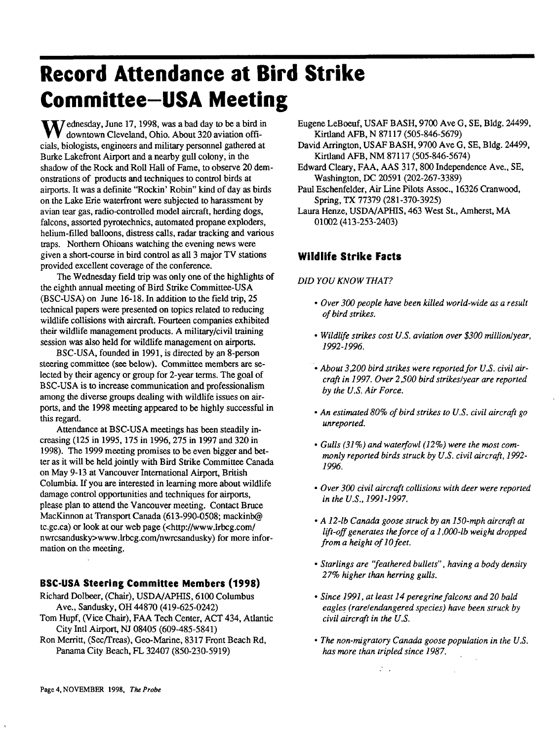# **Record Attendance at Bird Strike Committee-USA Meeting**

Wednesday, June 17, 1998, was a bad day to be a bird in downtown Cleveland, Ohio. About 320 aviation officials, biologists, engineers and military personnel gathered at Burke Lakefront Airport and a nearby gull colony, in the shadow of the Rock and Roll Hall of Fame, to observe 20 demonstrations of products and techniques to control birds at airports. It was a definite "Rockin' Robin" kind of day as birds on the Lake Erie waterfront were subjected to harassment by avian tear gas, radio-controlled model aircraft, herding dogs, falcons, assorted pyrotechnics, automated propane exploders, helium-filled balloons, distress calls, radar tracking and various traps. Northern Ohioans watching the evening news were given a short-course in bird control as all 3 major TV stations provided excellent coverage of the conference.

The Wednesday field trip was only one of the highlights of the eighth annual meeting of Bird Strike Committee-USA (BSC-USA) on June 16-18. In addition to the field trip, 25 technical papers were presented on topics related to reducing wildlife collisions with aircraft. Fourteen companies exhibited their wildlife management products. A military/civil training session was also held for wildlife management on airports.

BSC-USA, founded in 1991, is directed by an 8-person steering committee (see below). Committee members are selected by their agency or group for 2-year terms. The goal of BSC-USA is to increase communication and professionalism among the diverse groups dealing with wildlife issues on airports, and the 1998 meeting appeared to be highly successful in this regard.

Attendance at BSC-USA meetings has been steadily increasing (125 in 1995,175 in 1996,275 in 1997 and 320 in 1998). The 1999 meeting promises to be even bigger and better as it will be held jointly with Bird Strike Committee Canada on May 9-13 at Vancouver International Airport, British Columbia. If you are interested in learning more about wildlife damage control opportunities and techniques for airports, please plan to attend the Vancouver meeting. Contact Bruce MacKinnon at Transport Canada (613-990-0508; mackinb@ tc.gc.ca) or look at our web page (<http://www.lrbcg.com/ nwrcsandusky>www.lrbcg.com/nwrcsandusky) for more information on the meeting.

#### **BSC-USA Steering Committee Members (1998)**

- Richard Dolbeer, (Chair), USDA/APHIS, 6100 Columbus Ave., Sandusky, OH 44870 (419-625-0242)
- Tom Hupf, (Vice Chair), FAA Tech Center, ACT 434, Atlantic City Intl Airport, NJ 08405 (609-485-5841)
- Ron Merritt, (Sec/Treas), Geo-Marine, 8317 Front Beach Rd, Panama City Beach, FL 32407 (850-230-5919)
- Eugene LeBoeuf, USAF BASH, 9700 Ave G, SE, Bldg. 24499, Kirtland AFB, N 87117 (505-846-5679)
- David Arrington, USAF BASH, 9700 Ave G, SE, Bldg. 24499, Kirtland AFB, NM 87117 (505-846-5674)
- Edward Cleary, FAA, AAS 317,800 Independence Ave., SE, Washington, DC 20591 (202-267-3389)
- Paul Eschenfelder, Air Line Pilots Assoc., 16326 Cranwood, Spring, TX 77379 (281-370-3925)

Laura Henze, USDA/APHIS, 463 West St., Amherst, MA 01002 (413-253-2403)

### **Wildlife Strike Facts**

#### *DID YOU KNOW THAT?*

- *Over 300 people have been killed world-wide as a result of bird strikes.*
- *Wildlife strikes cost U.S. aviation over \$300 million/year, 1992-1996.*
- • *About 3200 bird strikes were reported for US. civil aircraft in 1997. Over 2 \$00 bird strikes/year are reported by the U.S. Air Force.*
- *An estimated 80% of bird strikes to U.S. civil aircraft go unreported.*
- *Gulls (31%) and waterfowl (12%) were the most commonly reported birds struck by U.S. civil aircraft, 1992- 1996.*
- *Over 300 civil aircraft collisions with deer were reported in the U.S., 1991-1997.*
- *A 12-lb Canada goose struck by an 150-mph aircraft at lift-off generates the force ofal,000-lb weight dropped from a height of 10 feet.*
- *Starlings are "feathered bullets", having a body density 27% higher than herring gulls.*
- *Since 1991, at least 14 peregrine falcons and 20 bald eagles (rare/endangered species) have been struck by civil aircraft in the U.S.*
- *The non-migratory Canada goose population in the U.S. has more than tripled since 1987.*

 $\mathbb{Z}^{\mathbb{Z}}$  .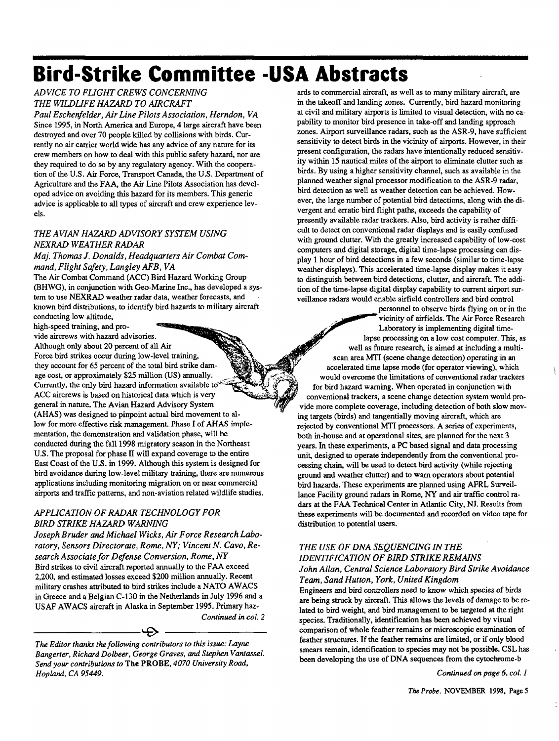# **Bird-Strike Committee -USA Abstracts**

*ADVICE TO FLIGHT CREWS CONCERNING THE WILDLIFE HAZARD TO AIRCRAFT*

*Paul Eschenf elder, Air Line Pilots Association, Herndon, VA* Since 1995, in North America and Europe, 4 large aircraft have been destroyed and over 70 people killed by collisions with birds. Currently no air carrier world wide has any advice of any nature for its crew members on how to deal with this public safety hazard, nor are they required to do so by any regulatory agency. With the cooperation of the U.S. Air Force, Transport Canada, the U.S. Department of Agriculture and the FAA, the Air Line Pilots Association has developed advice on avoiding this hazard for its members. This generic advice is applicable to all types of aircraft and crew experience levels.

#### *THE AVIAN HAZARD ADVISORY SYSTEM USING NEXRAD WEATHER RADAR*

*Maj. Thomas J. Donalds, Headquarters Air Combat Command, Flight Safety, Langley AFB, VA*

The Air Combat Command (ACC) Bird Hazard Working Group (BHWG), in conjunction with Geo-Marine Inc., has developed a system to use NEXRAD weather radar data, weather forecasts, and known bird distributions, to identify bird hazards to military aircraft conducting low altitude,

high-speed training, and pro-

vide aircrews with hazard advisories.

Although only about 20 percent of all Air Force bird strikes occur during low-level training, they account for 65 percent of the total bird strike damage cost, or approximately \$25 million (US) annually. Currently, the only bird hazard information available to ACC aircrews is based on historical data which is very general in nature. The Avian Hazard Advisory System (AHAS) was designed to pinpoint actual bird movement to allow for more effective risk management. Phase I of AHAS implementation, the demonstration and validation phase, will be conducted during the fall 1998 migratory season in the Northeast U.S. The proposal for phase II will expand coverage to the entire East Coast of the U.S. in 1999. Although this system is designed for bird avoidance during low-level military training, there are numerous applications including monitoring migration on or near commercial airports and traffic patterns, and non-aviation related wildlife studies.

#### *APPLICATION OF RADAR TECHNOLOGY FOR BIRD STRIKE HAZARD WARNING*

*Joseph Bruder and Michael Wicks, Air Force Research Laboratory, Sensors Directorate, Rome, NY; Vincent N. Cavo, Research Associate for Defense Conversion, Rome, NY* Bird strikes to civil aircraft reported annually to the FAA exceed 2,200, and estimated losses exceed \$200 million annually. Recent military crashes attributed to bird strikes include a NATO AW ACS in Greece and a Belgian C-130 in the Netherlands in July 1996 and a USAF AW ACS aircraft in Alaska in September 1995. Primary haz-

*Continued in col. 2*

*The Editor thanks the following contributors to this issue: Layne Bangerter, Richard Dolbeer, George Graves, and Stephen Vantassel. Send your contributions to* The PROBE, *4070 University Road, Hopland, CA 95449.*

- D -

ards to commercial aircraft, as well as to many military aircraft, are in the takeoff and landing zones. Currently, bird hazard monitoring at civil and military airports is limited to visual detection, with no capability to monitor bird presence in take-off and landing approach zones. Airport surveillance radars, such as the ASR-9, have sufficient sensitivity to detect birds in the vicinity of airports. However, in their present configuration, the radars have intentionally reduced sensitivity within 15 nautical miles of the airport to eliminate clutter such as birds. By using a higher sensitivity channel, such as available in the planned weather signal processor modification to the ASR-9 radar, bird detection as well as weather detection can be achieved. However, the large number of potential bird detections, along with the divergent and erratic bird flight paths, exceeds the capability of presently available radar trackers. Also, bird activity is rather difficult to detect on conventional radar displays and is easily confused with ground clutter. With the greatly increased capability of low-cost computers and digital storage, digital time-lapse processing can display 1 hour of bird detections in a few seconds (similar to time-lapse weather displays). This accelerated time-lapse display makes it easy to distinguish between bird detections, clutter, and aircraft. The addition of the time-lapse digital display capability to current airport surveillance radars would enable airfield controllers and bird control

personnel to observe birds flying on or in the vicinity of airfields. The Air Force Research Laboratory is implementing digital timelapse processing on a low cost computer. This, as well as future research, is aimed at including a multiscan area MTT (scene change detection) operating in an accelerated time lapse mode (for operator viewing), which would overcome the limitations of conventional radar trackers for bird hazard warning. When operated in conjunction with conventional trackers, a scene change detection system would provide more complete coverage, including detection of both slow moving targets (birds) and tangentially moving aircraft, which are rejected by conventional MTI processors. A series of experiments, both in-house and at operational sites, are planned for the next 3 years. In these experiments, a PC based signal and data processing unit, designed to operate independently from the conventional processing chain, will be used to detect bird activity (while rejecting ground and weather clutter) and to warn operators about potential bird hazards. These experiments are planned using AFRL Surveillance Facility ground radars in Rome, NY and air traffic control radars at the FAA Technical Center in Atlantic City, NJ. Results from these experiments will be documented and recorded on video tape for distribution to potential users.

#### *THE USE OF DNA SEQUENCING IN THE IDENTIFICATION OF BIRD STRIKE REMAINS John Allan, Central Science Laboratory Bird Strike Avoidance Team, SandHutton, York, United Kingdom*

Engineers and bird controllers need to know which species of birds are being struck by aircraft. This allows the levels of damage to be related to bird weight, and bird management to be targeted at the right species. Traditionally, identification has been achieved by visual comparison of whole feather remains or microscopic examination of feather structures. If the feather remains are limited, or if only blood smears remain, identification to species may not be possible. CSL has been developing the use of DNA sequences from the cytochrome-b

*Continued on page 6, col. 1*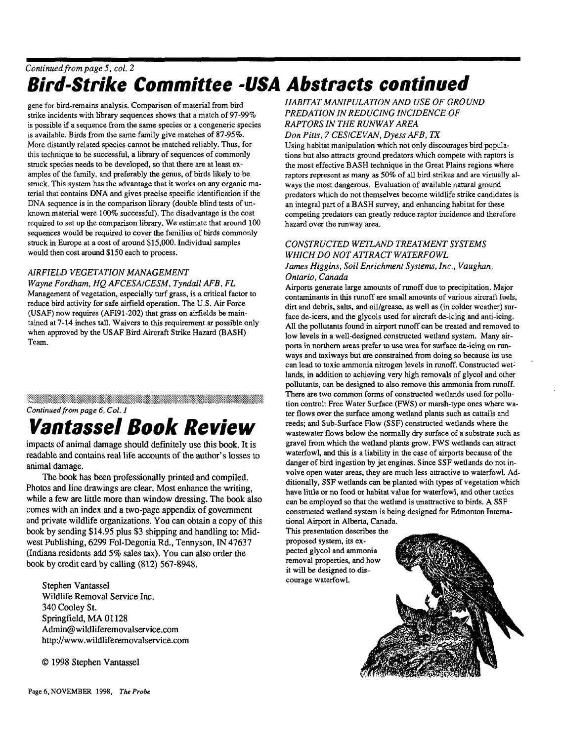## *Continued from page 5, col. 2* **Bird-Strike Committee -USA Abstracts continued**

gene for bird-remains analysis. Comparison of material from bird strike incidents with library sequences shows that a match of 97-99% is possible if a sequence from the same species or a congeneric species is available. Birds from the same family give matches of 87-95%. More distantly related species cannot be matched reliably. Thus, for this technique to be successful, a library of sequences of commonly struck species needs to be developed, so that there are at least examples of the family, and preferably the genus, of birds likely to be struck. This system has the advantage that it works on any organic material that contains DNA and gives precise specific identification if the DNA sequence is in the comparison library (double blind tests of unknown material were 100% successful). The disadvantage is the cost required to set up the comparison library. We estimate that around 100 sequences would be required to cover the families of birds commonly struck in Europe at a cost of around \$15,000. Individual samples would then cost around \$150 each to process.

#### *AIRFIELD VEGETATION MANAGEMENT*

*Wayne Fordham, HQ AFCESA/CESM, Tyndall AFB, FL* Management of vegetation, especially turf grass, is a critical factor to reduce bird activity for safe airfield operation. The U.S. Air Force (USAF) now requires (AFI91-202) that grass on airfields be maintained at 7-14 inches tall. Waivers to this requirement ar possible only when approved by the USAF Bird Aircraft Strike Hazard (BASH) Team.

#### *Continued from page 6, Col. 1*

# **Vantassel Book Review**

impacts of animal damage should definitely use this book. It is readable and contains real life accounts of the author's losses to animal damage.

The book has been professionally printed and compiled. Photos and line drawings are clear. Most enhance the writing, while a few are little more than window dressing. The book also comes with an index and a two-page appendix of government and private wildlife organizations. You can obtain a copy of this book by sending \$14.95 plus \$3 shipping and handling to: Midwest Publishing, 6299 Fol-Degonia Rd., Tennyson, IN 47637 (Indiana residents add 5% sales tax). You can also order the book by credit card by calling (812) 567-8948.

Stephen Vantassel Wildlife Removal Service Inc. 340 Cooley St. Springfield, MA 01128 Admin@wildliferemovalservice.com http://www.wildliferemovalservice.com

© 1998 Stephen Vantassel

*HABITAT MANIPULATION AND USE OF GROUND PREDATION IN REDUCING INCIDENCE OF RAPTORS IN THE RUNWAY AREA Don Pitts, 7 CES/CEVAN, DyessAFB, TX*

Using habitat manipulation which not only discourages bird populations but also attracts ground predators which compete with raptors is the most effective BASH technique in the Great Plains regions where raptors represent as many as 50% of all bird strikes and are virtually always the most dangerous. Evaluation of available natural ground predators which do not themselves become wildlife strike candidates is an integral part of a BASH survey, and enhancing habitat for these competing predators can greatly reduce raptor incidence and therefore hazard over the runway area.

### *CONSTRUCTED WETLAND TREATMENT SYSTEMS WHICH DO NOT ATTRACT WATERFOWL*

#### *James Higgins, Soil Enrichment Systems, Inc., Vaughan, Ontario, Canada*

Airports generate large amounts of runoff due to precipitation. Major contaminants in this runoff are small amounts of various aircraft fuels, dirt and debris, salts, and oil/grease, as well as (in colder weather) surface de-icers, and the glycols used for aircraft de-icing and anti-icing. All the pollutants found in airport runoff can be treated and removed to low levels in a well-designed constructed wetland system. Many airports in northern areas prefer to use urea for surface de-icing on runways and taxiways but are constrained from doing so because its use can lead to toxic ammonia nitrogen levels in runoff. Constructed wet: lands, in addition to achieving very high removals of glycol and other pollutants, can be designed to also remove this ammonia from runoff. There are two common forms of constructed wetlands used for pollution control: Free Water Surface (FWS) or marsh-type ones where water flows over the surface among wetland plants such as cattails and reeds; and Sub-Surface Flow (SSF) constructed wetlands where the wastewater flows below the normally dry surface of a substrate such as gravel from which the wetland plants grow. FWS wetlands can attract waterfowl, and this is a liability in the case of airports because of the danger of bird ingestion by jet engines. Since SSF wetlands do not involve open water areas, they are much less attractive to waterfowl. Additionally, SSF wetlands can be planted with types of vegetation which have little or no food or habitat value for waterfowl, and other tactics can be employed so that the wetland is unattractive to birds. A SSF constructed wetland system is being designed for Edmonton Interna-

tional Airport in Alberta, Canada. This presentation describes the proposed system, its expected glycol and ammonia removal properties, and how it will be designed to discourage waterfowl.

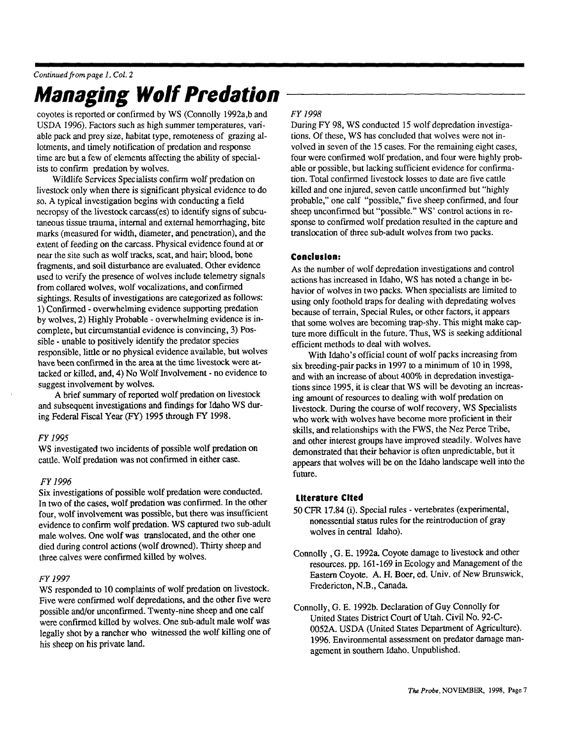## *Continued from page 1, Col. 2* **Managing Wolf Predation**

coyotes is reported or confirmed by WS (Connolly I992a,b and USDA 1996). Factors such as high summer temperatures, variable pack and prey size, habitat type, remoteness of grazing allotments, and timely notification of predation and response time are but a few of elements affecting the ability of specialists to confirm predation by wolves.

Wildlife Services Specialists confirm wolf predation on livestock only when there is significant physical evidence to do so. A typical investigation begins with conducting a field necropsy of the livestock carcass(es) to identify signs of subcutaneous tissue trauma, internal and external hemorrhaging, bite marks (measured for width, diameter, and penetration), and the extent of feeding on the carcass. Physical evidence found at or near the site such as wolf tracks, scat, and hair; blood, bone fragments, and soil disturbance are evaluated. Other evidence used to verify the presence of wolves include telemetry signals from collared wolves, wolf vocalizations, and confirmed sightings. Results of investigations are categorized as follows: 1) Confirmed - overwhelming evidence supporting predation by wolves, 2) Highly Probable - overwhelming evidence is incomplete, but circumstantial evidence is convincing, 3) Possible - unable to positively identify the predator species responsible, little or no physical evidence available, but wolves have been confirmed in the area at the time livestock were attacked or killed, and, 4) No Wolf Involvement - no evidence to suggest involvement by wolves.

A brief summary of reported wolf predation on livestock and subsequent investigations and findings for Idaho WS during Federal Fiscal Year (FY) 1995 through FY 1998.

#### *FY1995*

WS investigated two incidents of possible wolf predation on cattle. Wolf predation was not confirmed in either case.

#### *FY1996*

Six investigations of possible wolf predation were conducted. In two of the cases, wolf predation was confirmed. In the other four, wolf involvement was possible, but there was insufficient evidence to confirm wolf predation. WS captured two sub-adult male wolves. One wolf was translocated, and the other one died during control actions (wolf drowned). Thirty sheep and three calves were confirmed killed by wolves.

#### *FY1997*

WS responded to 10 complaints of wolf predation on livestock. Five were confirmed wolf depredations, and the other five were possible and/or unconfirmed. Twenty-nine sheep and one calf were confirmed killed by wolves. One sub-adult male wolf was legally shot by a rancher who witnessed the wolf killing one of his sheep on his private land.

#### *FY1998*

During FY 98, WS conducted 15 wolf depredation investigations. Of these, WS has concluded that wolves were not involved in seven of the 15 cases. For the remaining eight cases, four were confirmed wolf predation, and four were highly probable or possible, but lacking sufficient evidence for confirmation. Total confirmed livestock losses to date are five cattle killed and one injured, seven cattle unconfirmed but "highly probable," one calf "possible," five sheep confirmed, and four sheep unconfirmed but "possible." WS' control actions in response to confirmed wolf predation resulted in the capture and translocation of three sub-adult wolves from two packs.

#### **Conclusion:**

As the number of wolf depredation investigations and control actions has increased in Idaho, WS has noted a change in behavior of wolves in two packs. When specialists are limited to using only foothold traps for dealing with depredating wolves because of terrain, Special Rules, or other factors, it appears that some wolves are becoming trap-shy. This might make capture more difficult in the future. Thus, WS is seeking additional efficient methods to deal with wolves.

With Idaho's official count of wolf packs increasing from six breeding-pair packs in 1997 to a minimum of 10 in 1998, and with an increase of about 400% in depredation investigations since 1995, it is clear that WS will be devoting an increasing amount of resources to dealing with wolf predation on livestock. During the course of wolf recovery, WS Specialists who work with wolves have become more proficient in their skills, and relationships with the FWS, the Nez Perce Tribe, and other interest groups have improved steadily. Wolves have demonstrated that their behavior is often unpredictable, but it appears that wolves will be on the Idaho landscape well into the future.

#### **Literature Cited**

50 CFR 17.84 (i). Special rules - vertebrates (experimental, nonessential status rules for the reintroduction of gray wolves in central Idaho).

- Connolly , G. E. 1992a. Coyote damage to livestock and other resources, pp. 161-169 in Ecology and Management of the Eastern Coyote. A. H. Boer, ed. Univ. of New Brunswick, Fredericton, N.B., Canada.
- Connolly, G. E. 1992b. Declaration of Guy Connolly for United States District Court of Utah. Civil No. 92-C-0052A. USDA (United States Department of Agriculture). 1996. Environmental assessment on predator damage management in southern Idaho. Unpublished.